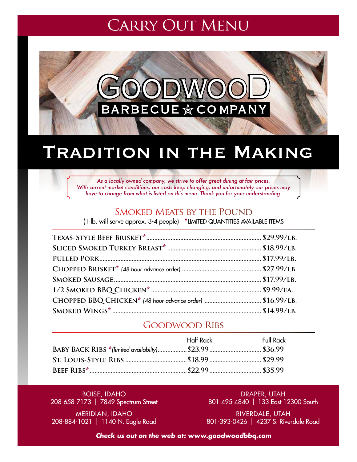## **CARRY OUT MENU**



## TRADITION IN THE MAKING

*As a locally owned company, we strive to offer great dining at fair prices. With current market conditions, our costs keep changing, and unfortunately our prices may have to change from what is listed on this menu. Thank you for your understanding.*

### Smoked Meats by the Pound

(1 lb. will serve approx. 3-4 people) \*Limited quantities available Items

## Goodwood Ribs

| Half Rack | <b>Full Rack</b> |
|-----------|------------------|
|           |                  |
|           |                  |
|           |                  |
|           |                  |

Boise, Idaho 208-658-7173 | 7849 Spectrum Street

Draper, Utah 801-495-4840 | 133 East 12300 South

Meridian, Idaho 208-884-1021 | 1140 N. Eagle Road

Riverdale, Utah 801-393-0426 | 4237 S. Riverdale Road

**Check us out on the web at: www.goodwoodbbq.com**